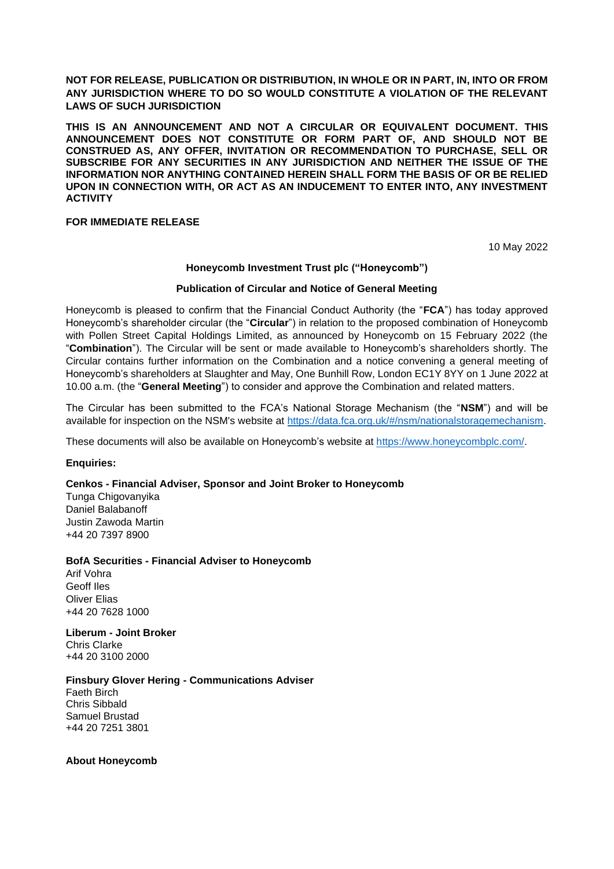**NOT FOR RELEASE, PUBLICATION OR DISTRIBUTION, IN WHOLE OR IN PART, IN, INTO OR FROM ANY JURISDICTION WHERE TO DO SO WOULD CONSTITUTE A VIOLATION OF THE RELEVANT LAWS OF SUCH JURISDICTION**

**THIS IS AN ANNOUNCEMENT AND NOT A CIRCULAR OR EQUIVALENT DOCUMENT. THIS ANNOUNCEMENT DOES NOT CONSTITUTE OR FORM PART OF, AND SHOULD NOT BE CONSTRUED AS, ANY OFFER, INVITATION OR RECOMMENDATION TO PURCHASE, SELL OR SUBSCRIBE FOR ANY SECURITIES IN ANY JURISDICTION AND NEITHER THE ISSUE OF THE INFORMATION NOR ANYTHING CONTAINED HEREIN SHALL FORM THE BASIS OF OR BE RELIED UPON IN CONNECTION WITH, OR ACT AS AN INDUCEMENT TO ENTER INTO, ANY INVESTMENT ACTIVITY**

# **FOR IMMEDIATE RELEASE**

10 May 2022

#### **Honeycomb Investment Trust plc ("Honeycomb")**

## **Publication of Circular and Notice of General Meeting**

Honeycomb is pleased to confirm that the Financial Conduct Authority (the "**FCA**") has today approved Honeycomb's shareholder circular (the "**Circular**") in relation to the proposed combination of Honeycomb with Pollen Street Capital Holdings Limited, as announced by Honeycomb on 15 February 2022 (the "**Combination**"). The Circular will be sent or made available to Honeycomb's shareholders shortly. The Circular contains further information on the Combination and a notice convening a general meeting of Honeycomb's shareholders at Slaughter and May, One Bunhill Row, London EC1Y 8YY on 1 June 2022 at 10.00 a.m. (the "**General Meeting**") to consider and approve the Combination and related matters.

The Circular has been submitted to the FCA's National Storage Mechanism (the "**NSM**") and will be available for inspection on the NSM's website at https://data.fca.org.uk/#/nsm/nationalstoragemechanism.

These documents will also be available on Honeycomb's website at https://www.honeycombplc.com/.

#### **Enquiries:**

### **Cenkos - Financial Adviser, Sponsor and Joint Broker to Honeycomb**

Tunga Chigovanyika Daniel Balabanoff Justin Zawoda Martin +44 20 7397 8900

#### **BofA Securities - Financial Adviser to Honeycomb**

Arif Vohra Geoff Iles Oliver Elias +44 20 7628 1000

**Liberum - Joint Broker** Chris Clarke +44 20 3100 2000

### **Finsbury Glover Hering - Communications Adviser**

Faeth Birch Chris Sibbald Samuel Brustad +44 20 7251 3801

**About Honeycomb**